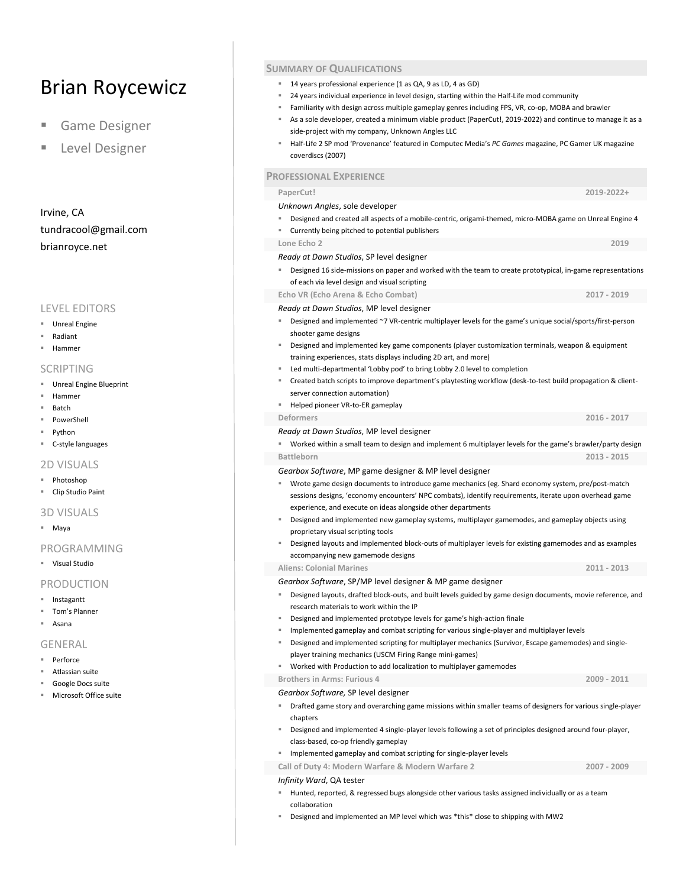# Brian Roycewicz

- **Game Designer**
- Level Designer

Irvine, CA tundracool@gmail.com brianroyce.net

## LEVEL EDITORS

- Unreal Engine
- Radiant
- Hammer

#### SCRIPTING

- Unreal Engine Blueprint
- Hammer
- Batch
- PowerShell
- Python
- C-style languages

#### 2D VISUALS

- Photoshop
- Clip Studio Paint

## 3D VISUALS

■ Maya

### PROGRAMMING

Visual Studio

#### PRODUCTION

- Instagantt
- Tom's Planner
- Asana

#### GENERAL

- Perforce
- Atlassian suite
- Google Docs suite
- Microsoft Office suite

## **SUMMARY OF QUALIFICATIONS**

- 14 years professional experience (1 as QA, 9 as LD, 4 as GD)
- 24 years individual experience in level design, starting within the Half-Life mod community
- Familiarity with design across multiple gameplay genres including FPS, VR, co-op, MOBA and brawler
- As a sole developer, created a minimum viable product (PaperCut!, 2019-2022) and continue to manage it as a side-project with my company, Unknown Angles LLC
- Half-Life 2 SP mod 'Provenance' featured in Computec Media's *PC Games* magazine, PC Gamer UK magazine coverdiscs (2007)

#### **PROFESSIONAL EXPERIENCE**

**PaperCut! 2019-2022+**  *Unknown Angles*, sole developer Designed and created all aspects of a mobile-centric, origami-themed, micro-MOBA game on Unreal Engine 4 Currently being pitched to potential publishers **Lone Echo 2 2019** *Ready at Dawn Studios*, SP level designer Designed 16 side-missions on paper and worked with the team to create prototypical, in-game representations of each via level design and visual scripting **Echo VR (Echo Arena & Echo Combat) 2017 - 2019** *Ready at Dawn Studios*, MP level designer Designed and implemented ~7 VR-centric multiplayer levels for the game's unique social/sports/first-person shooter game designs Designed and implemented key game components (player customization terminals, weapon & equipment training experiences, stats displays including 2D art, and more) Led multi-departmental 'Lobby pod' to bring Lobby 2.0 level to completion Created batch scripts to improve department's playtesting workflow (desk-to-test build propagation & clientserver connection automation) ■ Helped pioneer VR-to-ER gameplay **Deformers 2016 - 2017** *Ready at Dawn Studios*, MP level designer Worked within a small team to design and implement 6 multiplayer levels for the game's brawler/party design **Battleborn 2013 - 2015** *Gearbox Software*, MP game designer & MP level designer Wrote game design documents to introduce game mechanics (eg. Shard economy system, pre/post-match sessions designs, 'economy encounters' NPC combats), identify requirements, iterate upon overhead game experience, and execute on ideas alongside other departments Designed and implemented new gameplay systems, multiplayer gamemodes, and gameplay objects using proprietary visual scripting tools Designed layouts and implemented block-outs of multiplayer levels for existing gamemodes and as examples accompanying new gamemode designs **Aliens: Colonial Marines 2011 - 2013** *Gearbox Software*, SP/MP level designer & MP game designer Designed layouts, drafted block-outs, and built levels guided by game design documents, movie reference, and research materials to work within the IP Designed and implemented prototype levels for game's high-action finale Implemented gameplay and combat scripting for various single-player and multiplayer levels Designed and implemented scripting for multiplayer mechanics (Survivor, Escape gamemodes) and singleplayer training mechanics (USCM Firing Range mini-games) Worked with Production to add localization to multiplayer gamemodes **Brothers in Arms: Furious 4 2009 - 2011** *Gearbox Software,* SP level designer

- Drafted game story and overarching game missions within smaller teams of designers for various single-player chapters
- Designed and implemented 4 single-player levels following a set of principles designed around four-player, class-based, co-op friendly gameplay
- **IMPLE 11 Implemented gameplay and combat scripting for single-player levels**

**Call of Duty 4: Modern Warfare & Modern Warfare 2 2007 - 2009**

#### *Infinity Ward*, QA tester

- Hunted, reported, & regressed bugs alongside other various tasks assigned individually or as a team collaboration
- Designed and implemented an MP level which was \*this\* close to shipping with MW2